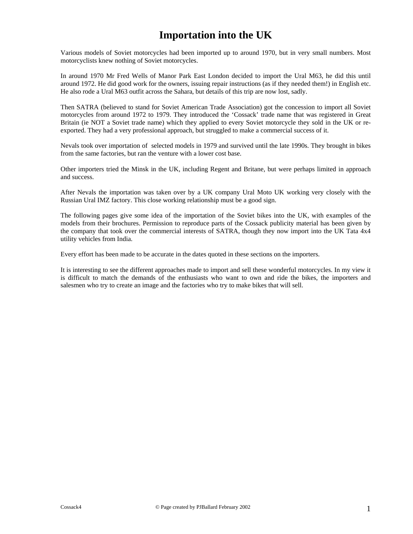## **Importation into the UK**

Various models of Soviet motorcycles had been imported up to around 1970, but in very small numbers. Most motorcyclists knew nothing of Soviet motorcycles.

In around 1970 Mr Fred Wells of Manor Park East London decided to import the Ural M63, he did this until around 1972. He did good work for the owners, issuing repair instructions (as if they needed them!) in English etc. He also rode a Ural M63 outfit across the Sahara, but details of this trip are now lost, sadly.

Then SATRA (believed to stand for Soviet American Trade Association) got the concession to import all Soviet motorcycles from around 1972 to 1979. They introduced the 'Cossack' trade name that was registered in Great Britain (ie NOT a Soviet trade name) which they applied to every Soviet motorcycle they sold in the UK or reexported. They had a very professional approach, but struggled to make a commercial success of it.

Nevals took over importation of selected models in 1979 and survived until the late 1990s. They brought in bikes from the same factories, but ran the venture with a lower cost base.

Other importers tried the Minsk in the UK, including Regent and Britane, but were perhaps limited in approach and success.

After Nevals the importation was taken over by a UK company Ural Moto UK working very closely with the Russian Ural IMZ factory. This close working relationship must be a good sign.

The following pages give some idea of the importation of the Soviet bikes into the UK, with examples of the models from their brochures. Permission to reproduce parts of the Cossack publicity material has been given by the company that took over the commercial interests of SATRA, though they now import into the UK Tata 4x4 utility vehicles from India.

Every effort has been made to be accurate in the dates quoted in these sections on the importers.

It is interesting to see the different approaches made to import and sell these wonderful motorcycles. In my view it is difficult to match the demands of the enthusiasts who want to own and ride the bikes, the importers and salesmen who try to create an image and the factories who try to make bikes that will sell.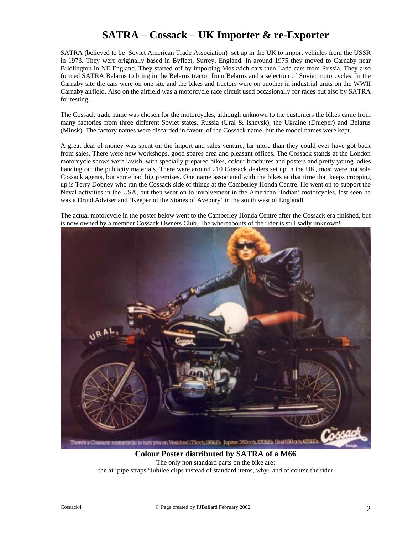## **SATRA – Cossack – UK Importer & re-Exporter**

SATRA (believed to be Soviet American Trade Association) set up in the UK to import vehicles from the USSR in 1973. They were originally based in Byfleet, Surrey, England. In around 1975 they moved to Carnaby near Bridlington in NE England. They started off by importing Moskvich cars then Lada cars from Russia. They also formed SATRA Belarus to bring in the Belarus tractor from Belarus and a selection of Soviet motorcycles. In the Carnaby site the cars were on one site and the bikes and tractors were on another in industrial units on the WWII Carnaby airfield. Also on the airfield was a motorcycle race circuit used occasionally for races but also by SATRA for testing.

The Cossack trade name was chosen for the motorcycles, although unknown to the customers the bikes came from many factories from three different Soviet states, Russia (Ural & Ishevsk), the Ukraine (Dnieper) and Belarus (Minsk). The factory names were discarded in favour of the Cossack name, but the model names were kept.

A great deal of money was spent on the import and sales venture, far more than they could ever have got back from sales. There were new workshops, good spares area and pleasant offices. The Cossack stands at the London motorcycle shows were lavish, with specially prepared bikes, colour brochures and posters and pretty young ladies handing out the publicity materials. There were around 210 Cossack dealers set up in the UK, most were not sole Cossack agents, but some had big premises. One name associated with the bikes at that time that keeps cropping up is Terry Dobney who ran the Cossack side of things at the Camberley Honda Centre. He went on to support the Neval activities in the USA, but then went on to involvement in the American 'Indian' motorcycles, last seen he was a Druid Adviser and 'Keeper of the Stones of Avebury' in the south west of England!

The actual motorcycle in the poster below went to the Camberley Honda Centre after the Cossack era finished, but is now owned by a member Cossack Owners Club. The whereabouts of the rider is still sadly unknown!



**Colour Poster distributed by SATRA of a M66** The only non standard parts on the bike are: the air pipe straps 'Jubilee clips instead of standard items, why? and of course the rider.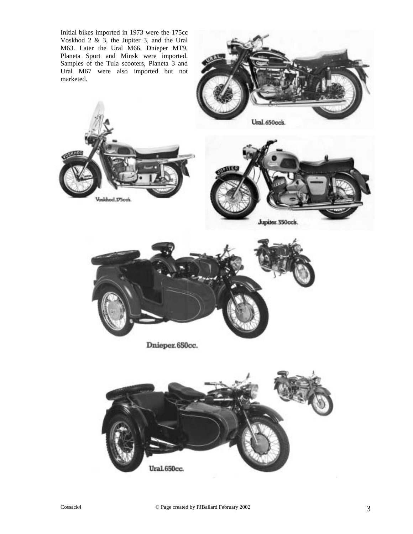

Voskhod.175ools.



Jupiter. 350cc's.